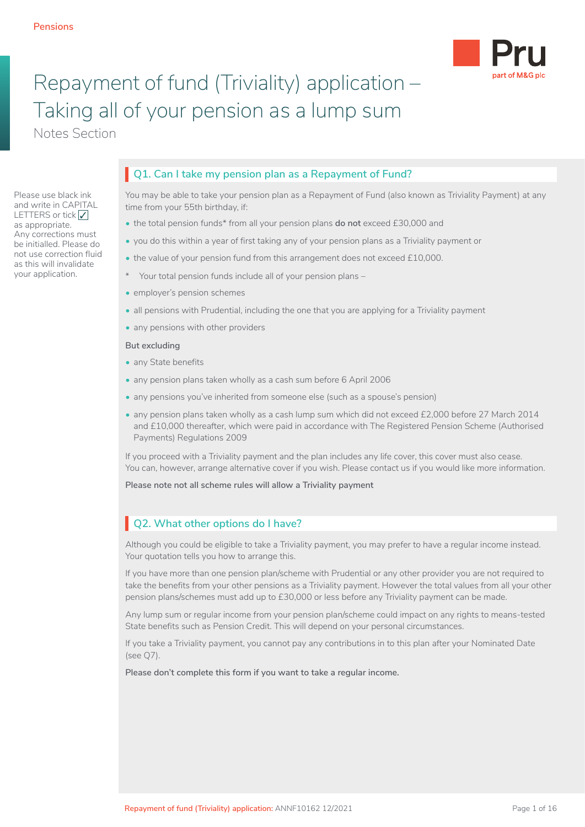Please use black ink and write in CAPITAL LETTERS or tick √ as appropriate. Any corrections must be initialled. Please do not use correction fluid as this will invalidate your application.



## Repayment of fund (Triviality) application – Taking all of your pension as a lump sum

Notes Section

## **Q1. Can I take my pension plan as a Repayment of Fund?**

You may be able to take your pension plan as a Repayment of Fund (also known as Triviality Payment) at any time from your 55th birthday, if:

- the total pension funds\* from all your pension plans **do not** exceed £30,000 and
- you do this within a year of first taking any of your pension plans as a Triviality payment or
- the value of your pension fund from this arrangement does not exceed £10,000.
- \* Your total pension funds include all of your pension plans –
- employer's pension schemes
- all pensions with Prudential, including the one that you are applying for a Triviality payment
- any pensions with other providers

#### **But excluding**

- any State benefits
- any pension plans taken wholly as a cash sum before 6 April 2006
- any pensions you've inherited from someone else (such as a spouse's pension)
- any pension plans taken wholly as a cash lump sum which did not exceed £2,000 before 27 March 2014 and £10,000 thereafter, which were paid in accordance with The Registered Pension Scheme (Authorised Payments) Regulations 2009

If you proceed with a Triviality payment and the plan includes any life cover, this cover must also cease. You can, however, arrange alternative cover if you wish. Please contact us if you would like more information.

**Please note not all scheme rules will allow a Triviality payment**

## **Q2. What other options do I have?**

Although you could be eligible to take a Triviality payment, you may prefer to have a regular income instead. Your quotation tells you how to arrange this.

If you have more than one pension plan/scheme with Prudential or any other provider you are not required to take the benefits from your other pensions as a Triviality payment. However the total values from all your other pension plans/schemes must add up to £30,000 or less before any Triviality payment can be made.

Any lump sum or regular income from your pension plan/scheme could impact on any rights to means-tested State benefits such as Pension Credit. This will depend on your personal circumstances.

If you take a Triviality payment, you cannot pay any contributions in to this plan after your Nominated Date (see Q7).

**Please don't complete this form if you want to take a regular income.**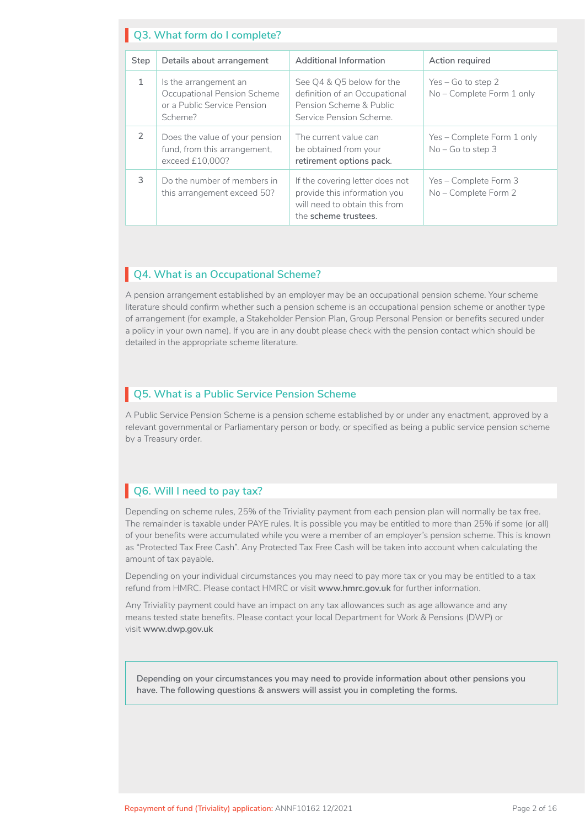|               | Q3. What form do I complete?                                                                   |                                                                                                                          |                                                   |
|---------------|------------------------------------------------------------------------------------------------|--------------------------------------------------------------------------------------------------------------------------|---------------------------------------------------|
|               |                                                                                                |                                                                                                                          |                                                   |
| <b>Step</b>   | Details about arrangement                                                                      | Additional Information                                                                                                   | Action required                                   |
| 1             | Is the arrangement an<br>Occupational Pension Scheme<br>or a Public Service Pension<br>Scheme? | See Q4 & Q5 below for the<br>definition of an Occupational<br>Pension Scheme & Public<br>Service Pension Scheme          | $Yes - Go$ to step 2<br>No - Complete Form 1 only |
| $\mathcal{L}$ | Does the value of your pension<br>fund, from this arrangement,<br>exceed £10,000?              | The current value can<br>be obtained from your<br>retirement options pack.                                               | Yes - Complete Form 1 only<br>$No - Go$ to step 3 |
| 3             | Do the number of members in<br>this arrangement exceed 50?                                     | If the covering letter does not<br>provide this information you<br>will need to obtain this from<br>the scheme trustees. | Yes – Complete Form 3<br>No - Complete Form 2     |

## **Q4. What is an Occupational Scheme?**

A pension arrangement established by an employer may be an occupational pension scheme. Your scheme literature should confirm whether such a pension scheme is an occupational pension scheme or another type of arrangement (for example, a Stakeholder Pension Plan, Group Personal Pension or benefits secured under a policy in your own name). If you are in any doubt please check with the pension contact which should be detailed in the appropriate scheme literature.

## **Q5. What is a Public Service Pension Scheme**

A Public Service Pension Scheme is a pension scheme established by or under any enactment, approved by a relevant governmental or Parliamentary person or body, or specified as being a public service pension scheme by a Treasury order.

## **Q6. Will I need to pay tax?**

Depending on scheme rules, 25% of the Triviality payment from each pension plan will normally be tax free. The remainder is taxable under PAYE rules. It is possible you may be entitled to more than 25% if some (or all) of your benefits were accumulated while you were a member of an employer's pension scheme. This is known as "Protected Tax Free Cash". Any Protected Tax Free Cash will be taken into account when calculating the amount of tax payable.

Depending on your individual circumstances you may need to pay more tax or you may be entitled to a tax refund from HMRC. Please contact HMRC or visit **www.hmrc.gov.uk** for further information.

Any Triviality payment could have an impact on any tax allowances such as age allowance and any means tested state benefits. Please contact your local Department for Work & Pensions (DWP) or visit **www.dwp.gov.uk**

**Depending on your circumstances you may need to provide information about other pensions you have. The following questions & answers will assist you in completing the forms.**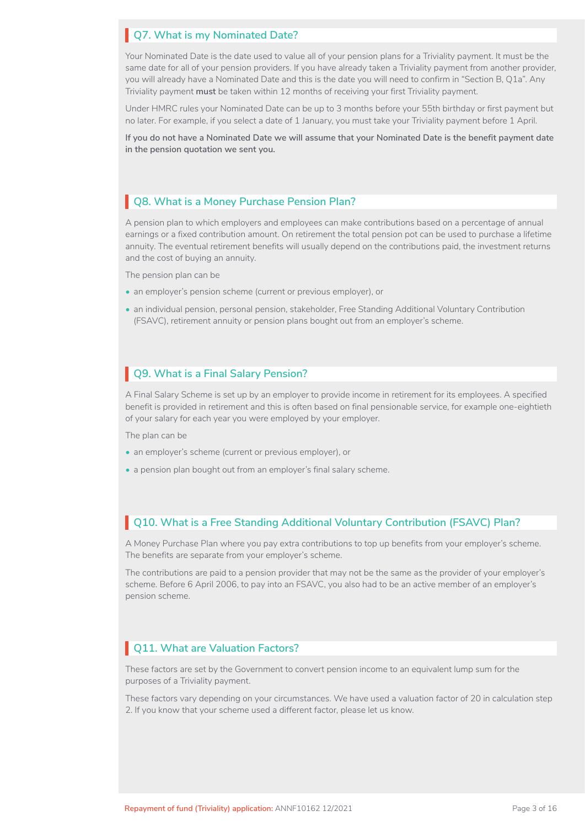## **Q7. What is my Nominated Date?**

Your Nominated Date is the date used to value all of your pension plans for a Triviality payment. It must be the same date for all of your pension providers. If you have already taken a Triviality payment from another provider, you will already have a Nominated Date and this is the date you will need to confirm in "Section B, Q1a". Any Triviality payment **must** be taken within 12 months of receiving your first Triviality payment.

Under HMRC rules your Nominated Date can be up to 3 months before your 55th birthday or first payment but no later. For example, if you select a date of 1 January, you must take your Triviality payment before 1 April.

**If you do not have a Nominated Date we will assume that your Nominated Date is the benefit payment date in the pension quotation we sent you.**

## **Q8. What is a Money Purchase Pension Plan?**

A pension plan to which employers and employees can make contributions based on a percentage of annual earnings or a fixed contribution amount. On retirement the total pension pot can be used to purchase a lifetime annuity. The eventual retirement benefits will usually depend on the contributions paid, the investment returns and the cost of buying an annuity.

The pension plan can be

- an employer's pension scheme (current or previous employer), or
- an individual pension, personal pension, stakeholder, Free Standing Additional Voluntary Contribution (FSAVC), retirement annuity or pension plans bought out from an employer's scheme.

## **Q9. What is a Final Salary Pension?**

A Final Salary Scheme is set up by an employer to provide income in retirement for its employees. A specified benefit is provided in retirement and this is often based on final pensionable service, for example one-eightieth of your salary for each year you were employed by your employer.

The plan can be

- an employer's scheme (current or previous employer), or
- a pension plan bought out from an employer's final salary scheme.

## **Q10. What is a Free Standing Additional Voluntary Contribution (FSAVC) Plan?**

A Money Purchase Plan where you pay extra contributions to top up benefits from your employer's scheme. The benefits are separate from your employer's scheme.

The contributions are paid to a pension provider that may not be the same as the provider of your employer's scheme. Before 6 April 2006, to pay into an FSAVC, you also had to be an active member of an employer's pension scheme.

#### **Q11. What are Valuation Factors?**

These factors are set by the Government to convert pension income to an equivalent lump sum for the purposes of a Triviality payment.

These factors vary depending on your circumstances. We have used a valuation factor of 20 in calculation step 2. If you know that your scheme used a different factor, please let us know.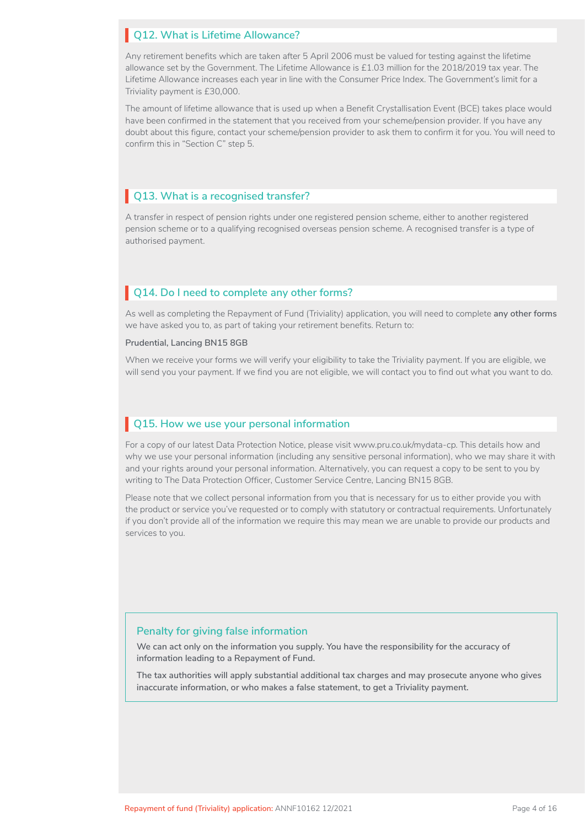#### **Q12. What is Lifetime Allowance?**

Any retirement benefits which are taken after 5 April 2006 must be valued for testing against the lifetime allowance set by the Government. The Lifetime Allowance is £1.03 million for the 2018/2019 tax year. The Lifetime Allowance increases each year in line with the Consumer Price Index. The Government's limit for a Triviality payment is £30,000.

The amount of lifetime allowance that is used up when a Benefit Crystallisation Event (BCE) takes place would have been confirmed in the statement that you received from your scheme/pension provider. If you have any doubt about this figure, contact your scheme/pension provider to ask them to confirm it for you. You will need to confirm this in "Section C" step 5.

#### **Q13. What is a recognised transfer?**

A transfer in respect of pension rights under one registered pension scheme, either to another registered pension scheme or to a qualifying recognised overseas pension scheme. A recognised transfer is a type of authorised payment.

#### **Q14. Do I need to complete any other forms?**

As well as completing the Repayment of Fund (Triviality) application, you will need to complete **any other forms**  we have asked you to, as part of taking your retirement benefits. Return to:

**Prudential, Lancing BN15 8GB**

When we receive your forms we will verify your eligibility to take the Triviality payment. If you are eligible, we will send you your payment. If we find you are not eligible, we will contact you to find out what you want to do.

#### **Q15. How we use your personal information**

For a copy of our latest Data Protection Notice, please visit www.pru.co.uk/mydata-cp. This details how and why we use your personal information (including any sensitive personal information), who we may share it with and your rights around your personal information. Alternatively, you can request a copy to be sent to you by writing to The Data Protection Officer, Customer Service Centre, Lancing BN15 8GB.

Please note that we collect personal information from you that is necessary for us to either provide you with the product or service you've requested or to comply with statutory or contractual requirements. Unfortunately if you don't provide all of the information we require this may mean we are unable to provide our products and services to you.

#### **Penalty for giving false information**

**We can act only on the information you supply. You have the responsibility for the accuracy of information leading to a Repayment of Fund.**

**The tax authorities will apply substantial additional tax charges and may prosecute anyone who gives inaccurate information, or who makes a false statement, to get a Triviality payment.**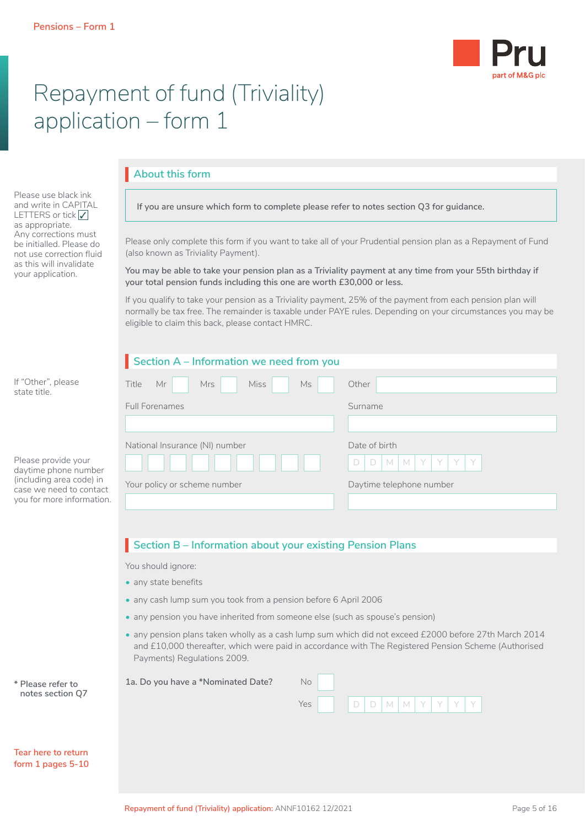

# Repayment of fund (Triviality) application – form 1

## **About this form**

Please use black ink and write in CAPITAL LETTERS or tick √ as appropriate. Any corrections must be initialled. Please do not use correction fluid as this will invalidate your application.

**If you are unsure which form to complete please refer to notes section Q3 for guidance.**

Please only complete this form if you want to take all of your Prudential pension plan as a Repayment of Fund (also known as Triviality Payment).

**You may be able to take your pension plan as a Triviality payment at any time from your 55th birthday if your total pension funds including this one are worth £30,000 or less.** 

If you qualify to take your pension as a Triviality payment, 25% of the payment from each pension plan will normally be tax free. The remainder is taxable under PAYE rules. Depending on your circumstances you may be eligible to claim this back, please contact HMRC.

## **Section A – Information we need from you**

| If "Other", please<br>state title.                  | Title<br>Mrs<br><b>Miss</b><br>Mr<br>Ms. | Other                         |
|-----------------------------------------------------|------------------------------------------|-------------------------------|
|                                                     | <b>Full Forenames</b>                    | Surname                       |
|                                                     |                                          |                               |
|                                                     | National Insurance (NI) number           | Date of birth                 |
| Please provide your<br>daytime phone number         |                                          | $D$ $M$ $N$ $Y$ $Y$<br>D<br>Y |
| (including area code) in<br>case we need to contact | Your policy or scheme number             | Daytime telephone number      |
| you for more information.                           |                                          |                               |

## **Section B – Information about your existing Pension Plans**

You should ignore:

- any state benefits
- any cash lump sum you took from a pension before 6 April 2006
- any pension you have inherited from someone else (such as spouse's pension)
- any pension plans taken wholly as a cash lump sum which did not exceed £2000 before 27th March 2014 and £10,000 thereafter, which were paid in accordance with The Registered Pension Scheme (Authorised Payments) Regulations 2009.

Yes D D M M Y Y Y Y

| * Please refer to | 1a. Do you have a *Nominated Date? | Nο |
|-------------------|------------------------------------|----|
| notes section Q7  |                                    |    |

|  | Tear here to return |
|--|---------------------|

**form 1 pages 5-10**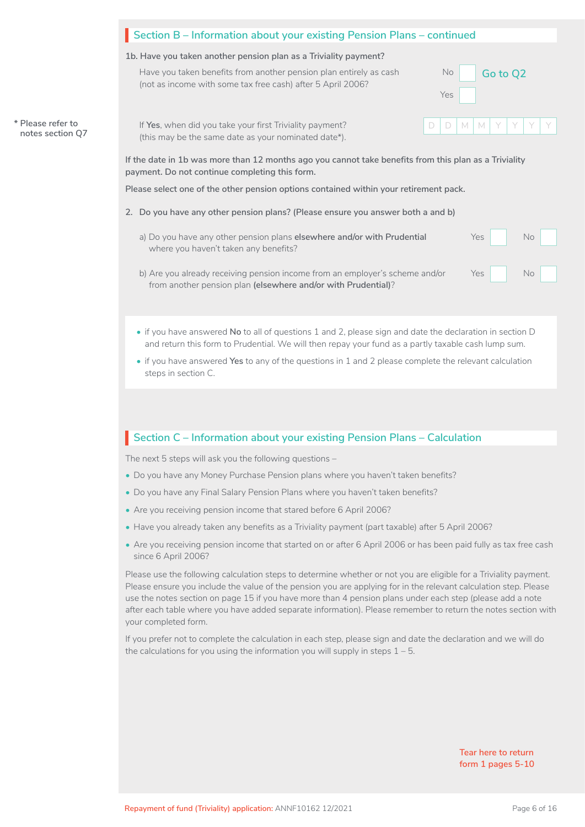#### **Section B – Information about your existing Pension Plans – continued**

#### **1b. Have you taken another pension plan as a Triviality payment?**

(this may be the same date as your nominated date\*).

|                   | Have you taken benefits from another pension plan entirely as cash<br>(not as income with some tax free cash) after 5 April 2006? |  |     | No Go to Q2     |  |  |
|-------------------|-----------------------------------------------------------------------------------------------------------------------------------|--|-----|-----------------|--|--|
|                   |                                                                                                                                   |  | Yes |                 |  |  |
| * Please refer to | If Yes, when did you take your first Triviality payment?                                                                          |  |     | $D D M M Y Y Y$ |  |  |

**notes section Q7**

**If the date in 1b was more than 12 months ago you cannot take benefits from this plan as a Triviality payment. Do not continue completing this form.** 

**Please select one of the other pension options contained within your retirement pack.**

- **2. Do you have any other pension plans? (Please ensure you answer both a and b)**
	- a) Do you have any other pension plans **elsewhere and/or with Prudential** Yes Yes where you haven't taken any benefits?
	- b) Are you already receiving pension income from an employer's scheme and/or Yes from another pension plan **(elsewhere and/or with Prudential)**?
	- if you have answered **No** to all of questions 1 and 2, please sign and date the declaration in section D and return this form to Prudential. We will then repay your fund as a partly taxable cash lump sum.
	- if you have answered **Yes** to any of the questions in 1 and 2 please complete the relevant calculation steps in section C.

#### **Section C – Information about your existing Pension Plans – Calculation**

The next 5 steps will ask you the following questions –

- Do you have any Money Purchase Pension plans where you haven't taken benefits?
- Do you have any Final Salary Pension Plans where you haven't taken benefits?
- Are you receiving pension income that stared before 6 April 2006?
- Have you already taken any benefits as a Triviality payment (part taxable) after 5 April 2006?
- Are you receiving pension income that started on or after 6 April 2006 or has been paid fully as tax free cash since 6 April 2006?

Please use the following calculation steps to determine whether or not you are eligible for a Triviality payment. Please ensure you include the value of the pension you are applying for in the relevant calculation step. Please use the notes section on page 15 if you have more than 4 pension plans under each step (please add a note after each table where you have added separate information). Please remember to return the notes section with your completed form.

If you prefer not to complete the calculation in each step, please sign and date the declaration and we will do the calculations for you using the information you will supply in steps  $1 - 5$ .

> **Tear here to return form 1 pages 5-10**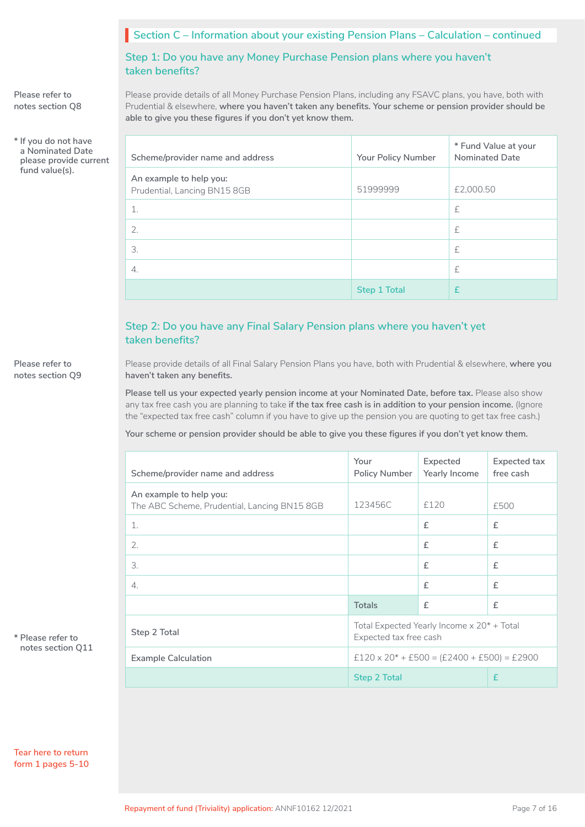## **Section C – Information about your existing Pension Plans – Calculation – continued**

**Step 1: Do you have any Money Purchase Pension plans where you haven't taken benefits?**

Please provide details of all Money Purchase Pension Plans, including any FSAVC plans, you have, both with Prudential & elsewhere, **where you haven't taken any benefits. Your scheme or pension provider should be able to give you these figures if you don't yet know them.**

| Scheme/provider name and address                        | Your Policy Number | * Fund Value at your<br><b>Nominated Date</b> |
|---------------------------------------------------------|--------------------|-----------------------------------------------|
| An example to help you:<br>Prudential, Lancing BN15 8GB | 51999999           | £2,000.50                                     |
|                                                         |                    | £                                             |
| 2.                                                      |                    | £                                             |
| 3.                                                      |                    | £                                             |
| 4.                                                      |                    | £                                             |
|                                                         | Step 1 Total       | f                                             |

## **Step 2: Do you have any Final Salary Pension plans where you haven't yet taken benefits?**

Please provide details of all Final Salary Pension Plans you have, both with Prudential & elsewhere, **where you haven't taken any benefits.** 

**Please tell us your expected yearly pension income at your Nominated Date, before tax.** Please also show any tax free cash you are planning to take **if the tax free cash is in addition to your pension income.** (Ignore the "expected tax free cash" column if you have to give up the pension you are quoting to get tax free cash.)

**Your scheme or pension provider should be able to give you these figures if you don't yet know them.**

| Scheme/provider name and address                                        | Your<br>Policy Number                                                | Expected<br>Yearly Income | Expected tax<br>free cash |  |  |
|-------------------------------------------------------------------------|----------------------------------------------------------------------|---------------------------|---------------------------|--|--|
| An example to help you:<br>The ABC Scheme, Prudential, Lancing BN15 8GB | 123456C                                                              | £120                      | £500                      |  |  |
| $\mathbf{1}$ .                                                          |                                                                      | £                         | £                         |  |  |
| 2.                                                                      |                                                                      | £                         | £                         |  |  |
| 3.                                                                      |                                                                      | f                         | £                         |  |  |
| $\Delta$ .                                                              |                                                                      | £                         | £                         |  |  |
|                                                                         | <b>Totals</b>                                                        | $\mathsf{f}$              | £                         |  |  |
| Step 2 Total                                                            | Total Expected Yearly Income x 20* + Total<br>Expected tax free cash |                           |                           |  |  |
| <b>Example Calculation</b>                                              | $£120 \times 20* + £500 = (£2400 + £500) = £2900$                    |                           |                           |  |  |
|                                                                         | <b>Step 2 Total</b>                                                  |                           | £                         |  |  |

**\* Please refer to notes section Q11**

**Tear here to return form 1 pages 5-10**

**Please refer to notes section Q8**

**\* If you do not have a Nominated Date please provide current** 

**fund value(s).**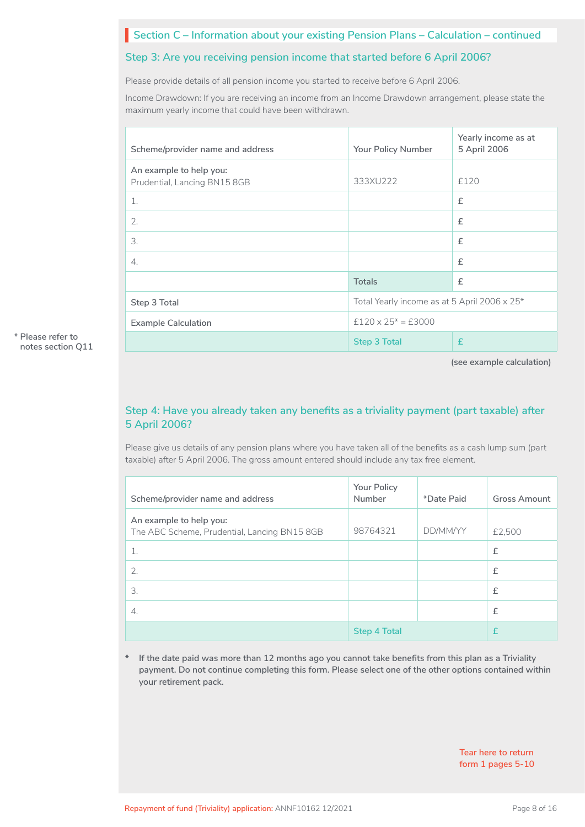## **Section C – Information about your existing Pension Plans – Calculation – continued**

#### **Step 3: Are you receiving pension income that started before 6 April 2006?**

Please provide details of all pension income you started to receive before 6 April 2006.

Income Drawdown: If you are receiving an income from an Income Drawdown arrangement, please state the maximum yearly income that could have been withdrawn.

| Scheme/provider name and address                        | Yearly income as at<br>5 April 2006<br>Your Policy Number |      |  |  |  |
|---------------------------------------------------------|-----------------------------------------------------------|------|--|--|--|
| An example to help you:<br>Prudential, Lancing BN15 8GB | 333XU222                                                  | £120 |  |  |  |
| 1.                                                      |                                                           | £    |  |  |  |
| 2.                                                      |                                                           | £    |  |  |  |
| 3.                                                      |                                                           | £    |  |  |  |
| 4.                                                      |                                                           | £    |  |  |  |
|                                                         | <b>Totals</b>                                             | £    |  |  |  |
| Step 3 Total                                            | Total Yearly income as at 5 April 2006 x 25*              |      |  |  |  |
| <b>Example Calculation</b>                              | $£120 \times 25* = £3000$                                 |      |  |  |  |
|                                                         | <b>Step 3 Total</b>                                       | £    |  |  |  |

**(see example calculation)**

## **Step 4: Have you already taken any benefits as a triviality payment (part taxable) after 5 April 2006?**

Please give us details of any pension plans where you have taken all of the benefits as a cash lump sum (part taxable) after 5 April 2006. The gross amount entered should include any tax free element.

| Scheme/provider name and address                                        | Your Policy<br>Number | *Date Paid | <b>Gross Amount</b> |
|-------------------------------------------------------------------------|-----------------------|------------|---------------------|
| An example to help you:<br>The ABC Scheme, Prudential, Lancing BN15 8GB | 98764321              | DD/MM/YY   | £2,500              |
| 1.                                                                      |                       |            | £                   |
| 2.                                                                      |                       |            | £                   |
| 3.                                                                      |                       |            | £                   |
| $\mathcal{A}_{\cdot}$                                                   |                       |            | £                   |
|                                                                         | <b>Step 4 Total</b>   |            | £                   |

**\* If the date paid was more than 12 months ago you cannot take benefits from this plan as a Triviality payment. Do not continue completing this form. Please select one of the other options contained within your retirement pack.**

> **Tear here to return form 1 pages 5-10**

**\* Please refer to notes section Q11**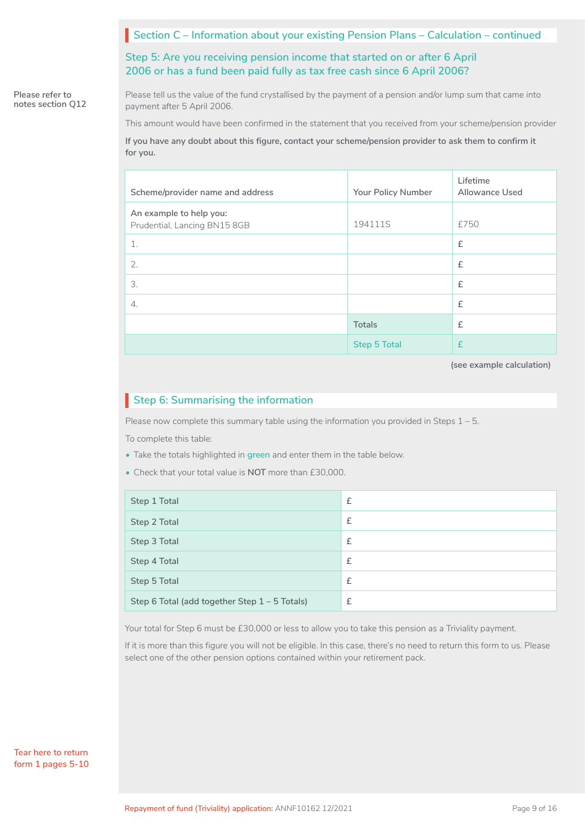#### **Section C – Information about your existing Pension Plans – Calculation – continued**

**Step 5: Are you receiving pension income that started on or after 6 April 2006 or has a fund been paid fully as tax free cash since 6 April 2006?**

**Please refer to notes section Q12** Please tell us the value of the fund crystallised by the payment of a pension and/or lump sum that came into payment after 5 April 2006.

This amount would have been confirmed in the statement that you received from your scheme/pension provider

**If you have any doubt about this figure, contact your scheme/pension provider to ask them to confirm it for you.**

| Scheme/provider name and address                        | Your Policy Number  | Lifetime<br>Allowance Used |
|---------------------------------------------------------|---------------------|----------------------------|
| An example to help you:<br>Prudential, Lancing BN15 8GB | 194111S             | £750                       |
| 1.                                                      |                     | £                          |
| 2.                                                      |                     | £                          |
| 3.                                                      |                     | £                          |
| $\overline{4}$ .                                        |                     | £                          |
|                                                         | Totals              | £                          |
|                                                         | <b>Step 5 Total</b> | $\mathbf{f}$               |

**(see example calculation)**

## **Step 6: Summarising the information**

Please now complete this summary table using the information you provided in Steps 1 – 5.

To complete this table:

- Take the totals highlighted in **green** and enter them in the table below.
- Check that your total value is **NOT** more than £30,000.

| Step 1 Total                                  | £ |
|-----------------------------------------------|---|
| Step 2 Total                                  | £ |
| Step 3 Total                                  | £ |
| Step 4 Total                                  | £ |
| Step 5 Total                                  | £ |
| Step 6 Total (add together Step 1 - 5 Totals) | £ |

Your total for Step 6 must be £30,000 or less to allow you to take this pension as a Triviality payment.

If it is more than this figure you will not be eligible. In this case, there's no need to return this form to us. Please select one of the other pension options contained within your retirement pack.

**Tear here to return form 1 pages 5-10**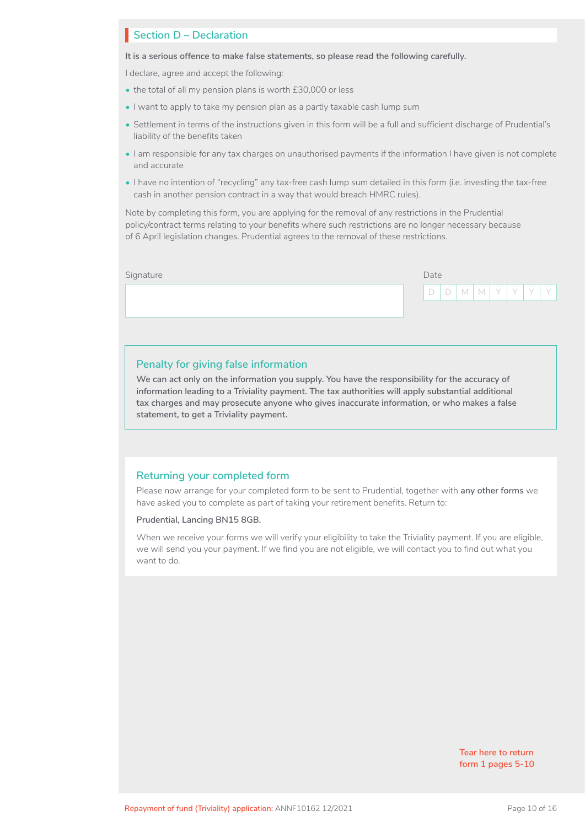#### **Section D – Declaration**

**It is a serious offence to make false statements, so please read the following carefully.**

I declare, agree and accept the following:

- the total of all my pension plans is worth £30,000 or less
- I want to apply to take my pension plan as a partly taxable cash lump sum
- Settlement in terms of the instructions given in this form will be a full and sufficient discharge of Prudential's liability of the benefits taken
- I am responsible for any tax charges on unauthorised payments if the information I have given is not complete and accurate
- I have no intention of "recycling" any tax-free cash lump sum detailed in this form (i.e. investing the tax-free cash in another pension contract in a way that would breach HMRC rules).

Note by completing this form, you are applying for the removal of any restrictions in the Prudential policy/contract terms relating to your benefits where such restrictions are no longer necessary because of 6 April legislation changes. Prudential agrees to the removal of these restrictions.

| $\sqrt[p]{\bigcap_{i=1}^{n} D_i}$<br>  M   M   Y   Y   Y <sup> </sup><br>Y | Signature | Date |  |  |  |  |  |  |  |
|----------------------------------------------------------------------------|-----------|------|--|--|--|--|--|--|--|
|                                                                            |           |      |  |  |  |  |  |  |  |
|                                                                            |           |      |  |  |  |  |  |  |  |

#### **Penalty for giving false information**

**We can act only on the information you supply. You have the responsibility for the accuracy of information leading to a Triviality payment. The tax authorities will apply substantial additional tax charges and may prosecute anyone who gives inaccurate information, or who makes a false statement, to get a Triviality payment.**

#### **Returning your completed form**

Please now arrange for your completed form to be sent to Prudential, together with **any other forms** we have asked you to complete as part of taking your retirement benefits. Return to:

**Prudential, Lancing BN15 8GB.**

When we receive your forms we will verify your eligibility to take the Triviality payment. If you are eligible, we will send you your payment. If we find you are not eligible, we will contact you to find out what you want to do.

> **Tear here to return form 1 pages 5-10**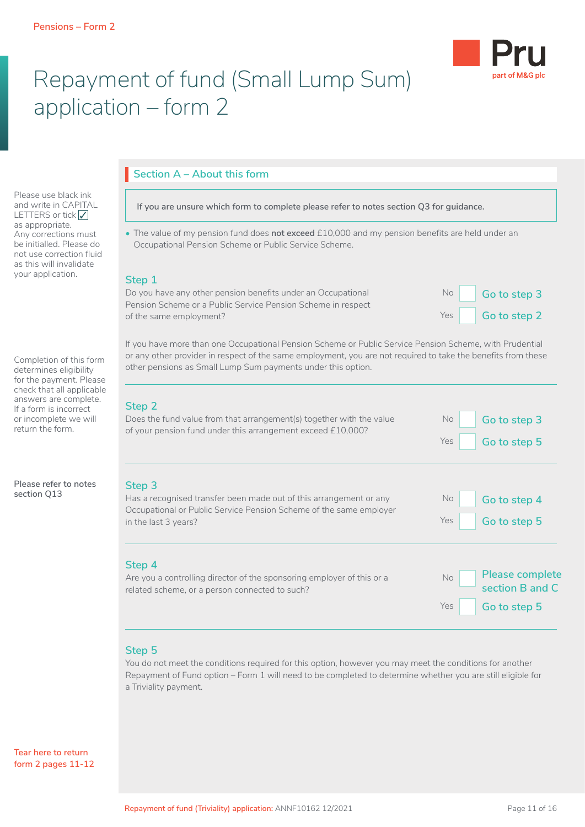

# Repayment of fund (Small Lump Sum) application – form 2

Please use black ink and write in CAPITAL LETTERS or tick √ as appropriate. Any corrections must be initialled. Please do not use correction fluid as this will invalidate your application.

Completion of this form determines eligibility for the payment. Please check that all applicable answers are complete. If a form is incorrect or incomplete we will return the form.

**Please refer to notes section Q13**

## **Section A – About this form**

**If you are unsure which form to complete please refer to notes section Q3 for guidance.**

• The value of my pension fund does **not exceed** £10,000 and my pension benefits are held under an Occupational Pension Scheme or Public Service Scheme.

#### **Step 1**

Do you have any other pension benefits under an Occupational Pension Scheme or a Public Service Pension Scheme in respect of the same employment?

| No  | Go to step 3 |
|-----|--------------|
| Yes | Go to step 2 |

If you have more than one Occupational Pension Scheme or Public Service Pension Scheme, with Prudential or any other provider in respect of the same employment, you are not required to take the benefits from these other pensions as Small Lump Sum payments under this option.

## **Step 2**

| Step 2<br>Does the fund value from that arrangement(s) together with the value<br>of your pension fund under this arrangement exceed £10,000?                              | No.<br>Go to step 3<br>Yes<br>Go to step 5                       |
|----------------------------------------------------------------------------------------------------------------------------------------------------------------------------|------------------------------------------------------------------|
| Step 3<br>Has a recognised transfer been made out of this arrangement or any<br>Occupational or Public Service Pension Scheme of the same employer<br>in the last 3 years? | No.<br>Go to step 4<br><b>Yes</b><br>Go to step 5                |
| Step 4<br>Are you a controlling director of the sponsoring employer of this or a<br>related scheme, or a person connected to such?                                         | Please complete<br>No.<br>section B and C<br>Yes<br>Go to step 5 |

## **Step 5**

You do not meet the conditions required for this option, however you may meet the conditions for another Repayment of Fund option – Form 1 will need to be completed to determine whether you are still eligible for a Triviality payment.

**Tear here to return form 2 pages 11-12**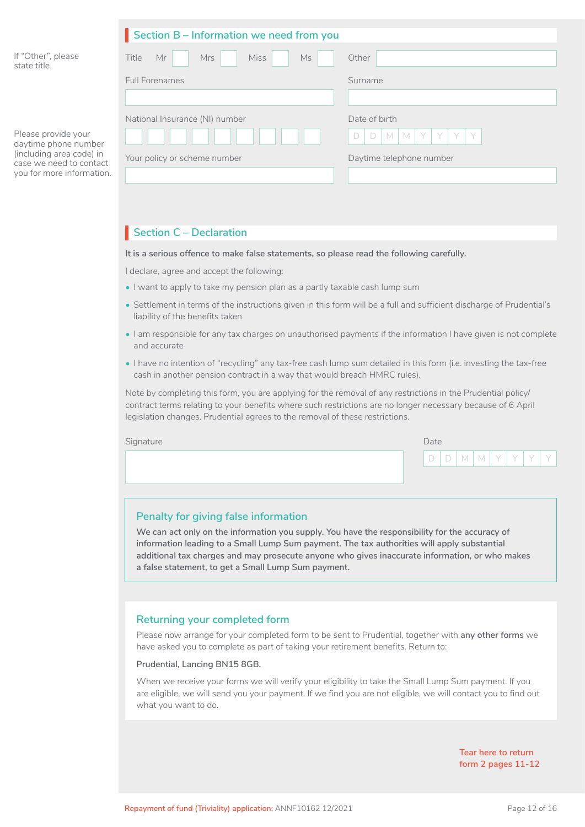|                                                                                                                                 | Section B - Information we need from you       |                              |  |  |  |  |  |
|---------------------------------------------------------------------------------------------------------------------------------|------------------------------------------------|------------------------------|--|--|--|--|--|
| If "Other", please<br>state title.                                                                                              | <b>Miss</b><br>Title<br>Mr<br>Mrs<br><b>Ms</b> | Other                        |  |  |  |  |  |
|                                                                                                                                 | <b>Full Forenames</b>                          | Surname                      |  |  |  |  |  |
|                                                                                                                                 |                                                |                              |  |  |  |  |  |
|                                                                                                                                 | National Insurance (NI) number                 | Date of birth                |  |  |  |  |  |
| Please provide your<br>daytime phone number<br>(including area code) in<br>case we need to contact<br>you for more information. |                                                | M M Y Y<br>YY<br>$\Box$<br>D |  |  |  |  |  |
|                                                                                                                                 | Your policy or scheme number                   | Daytime telephone number     |  |  |  |  |  |
|                                                                                                                                 |                                                |                              |  |  |  |  |  |

## **Section C – Declaration**

**It is a serious offence to make false statements, so please read the following carefully.**

I declare, agree and accept the following:

- I want to apply to take my pension plan as a partly taxable cash lump sum
- Settlement in terms of the instructions given in this form will be a full and sufficient discharge of Prudential's liability of the benefits taken
- I am responsible for any tax charges on unauthorised payments if the information I have given is not complete and accurate
- I have no intention of "recycling" any tax-free cash lump sum detailed in this form (i.e. investing the tax-free cash in another pension contract in a way that would breach HMRC rules).

Note by completing this form, you are applying for the removal of any restrictions in the Prudential policy/ contract terms relating to your benefits where such restrictions are no longer necessary because of 6 April legislation changes. Prudential agrees to the removal of these restrictions.

| Signature | Date |  |  |  |  |  |                             |
|-----------|------|--|--|--|--|--|-----------------------------|
|           |      |  |  |  |  |  | D D   M   M   Y   Y   Y   Y |
|           |      |  |  |  |  |  |                             |

#### **Penalty for giving false information**

**We can act only on the information you supply. You have the responsibility for the accuracy of information leading to a Small Lump Sum payment. The tax authorities will apply substantial additional tax charges and may prosecute anyone who gives inaccurate information, or who makes a false statement, to get a Small Lump Sum payment.**

#### **Returning your completed form**

Please now arrange for your completed form to be sent to Prudential, together with **any other forms** we have asked you to complete as part of taking your retirement benefits. Return to:

**Prudential, Lancing BN15 8GB.**

When we receive your forms we will verify your eligibility to take the Small Lump Sum payment. If you are eligible, we will send you your payment. If we find you are not eligible, we will contact you to find out what you want to do.

> **Tear here to return form 2 pages 11-12**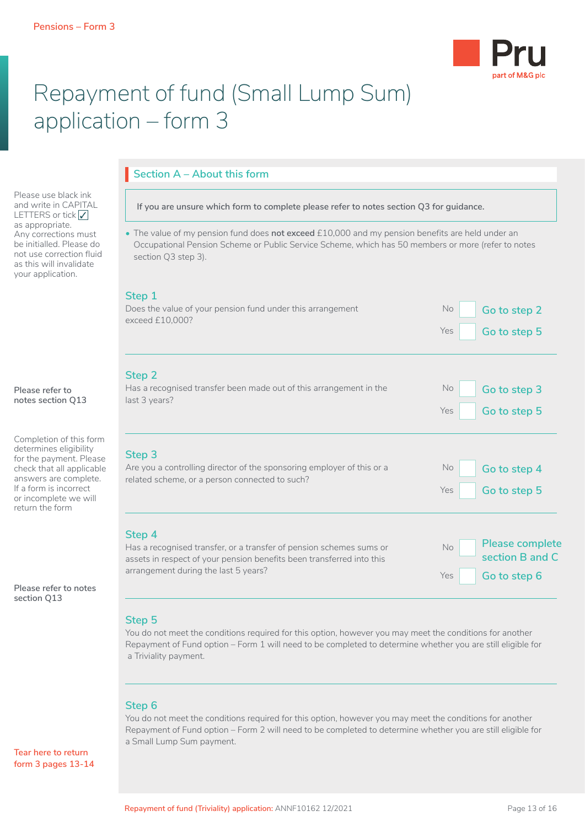

# Repayment of fund (Small Lump Sum) application – form 3

**Section A – About this form**

Please use black ink and write in CAPITAL LETTERS or tick √ as appropriate. Any corrections must be initialled. Please do not use correction fluid as this will invalidate your application.

#### **Please refer to notes section Q13**

Completion of this form determines eligibility for the payment. Please check that all applicable answers are complete. If a form is incorrect or incomplete we will return the form

**Please refer to notes section Q13**

#### **Step 5**

You do not meet the conditions required for this option, however you may meet the conditions for another Repayment of Fund option – Form 1 will need to be completed to determine whether you are still eligible for a Triviality payment.

#### **Step 6**

You do not meet the conditions required for this option, however you may meet the conditions for another Repayment of Fund option – Form 2 will need to be completed to determine whether you are still eligible for a Small Lump Sum payment.

**Tear here to return form 3 pages 13-14**

## **If you are unsure which form to complete please refer to notes section Q3 for guidance.** • The value of my pension fund does **not exceed** £10,000 and my pension benefits are held under an Occupational Pension Scheme or Public Service Scheme, which has 50 members or more (refer to notes section Q3 step 3). **Step 1** Does the value of your pension fund under this arrangement exceed £10,000? No **Go to step 2** Yes Go to step 5 **Step 2** Has a recognised transfer been made out of this arrangement in the last 3 years? No **Go to step 3** Yes Go to step 5 **Step 3** Are you a controlling director of the sponsoring employer of this or a related scheme, or a person connected to such? No **Go to step 4** Yes Go to step 5

**Step 4** Has a recognised transfer, or a transfer of pension schemes sums or assets in respect of your pension benefits been transferred into this arrangement during the last 5 years? No **Please complete section B and C** Yes Go to step 6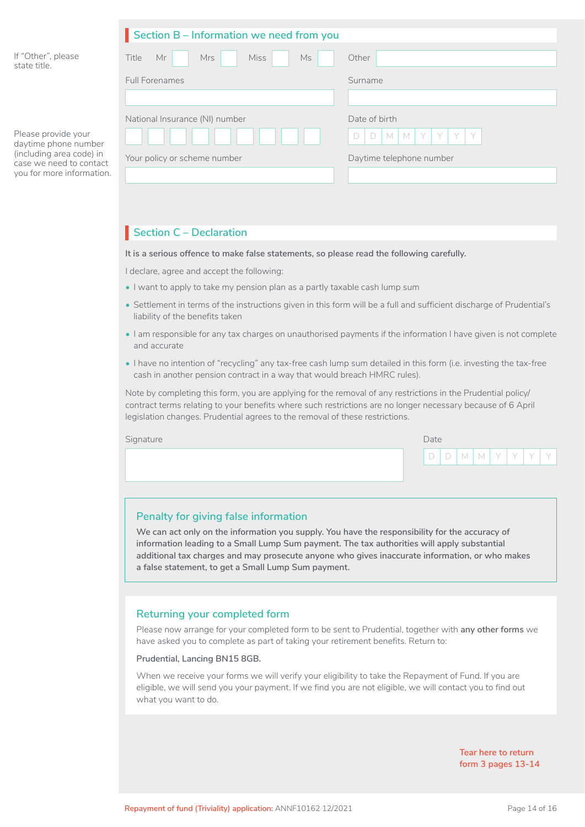|                                                                                                                                 | Section B - Information we need from you |                                             |  |  |  |  |  |
|---------------------------------------------------------------------------------------------------------------------------------|------------------------------------------|---------------------------------------------|--|--|--|--|--|
| If "Other", please<br>state title.                                                                                              | <b>Miss</b><br>Title<br>Mr<br>Mrs<br>Ms  | Other                                       |  |  |  |  |  |
|                                                                                                                                 | <b>Full Forenames</b>                    | Surname                                     |  |  |  |  |  |
|                                                                                                                                 |                                          |                                             |  |  |  |  |  |
| Please provide your<br>daytime phone number<br>(including area code) in<br>case we need to contact<br>you for more information. | National Insurance (NI) number           | Date of birth                               |  |  |  |  |  |
|                                                                                                                                 |                                          | $M$ $M$<br>Y<br>D<br>Y<br>Y<br>Y.<br>$\Box$ |  |  |  |  |  |
|                                                                                                                                 | Your policy or scheme number             | Daytime telephone number                    |  |  |  |  |  |
|                                                                                                                                 |                                          |                                             |  |  |  |  |  |

## **Section C – Declaration**

**It is a serious offence to make false statements, so please read the following carefully.**

I declare, agree and accept the following:

- I want to apply to take my pension plan as a partly taxable cash lump sum
- Settlement in terms of the instructions given in this form will be a full and sufficient discharge of Prudential's liability of the benefits taken
- I am responsible for any tax charges on unauthorised payments if the information I have given is not complete and accurate
- I have no intention of "recycling" any tax-free cash lump sum detailed in this form (i.e. investing the tax-free cash in another pension contract in a way that would breach HMRC rules).

Note by completing this form, you are applying for the removal of any restrictions in the Prudential policy/ contract terms relating to your benefits where such restrictions are no longer necessary because of 6 April legislation changes. Prudential agrees to the removal of these restrictions.

| Signature | Date |  |  |  |  |  |                               |
|-----------|------|--|--|--|--|--|-------------------------------|
|           |      |  |  |  |  |  | D   D   M   M   Y   Y   Y   Y |
|           |      |  |  |  |  |  |                               |

#### **Penalty for giving false information**

**We can act only on the information you supply. You have the responsibility for the accuracy of information leading to a Small Lump Sum payment. The tax authorities will apply substantial additional tax charges and may prosecute anyone who gives inaccurate information, or who makes a false statement, to get a Small Lump Sum payment.**

#### **Returning your completed form**

Please now arrange for your completed form to be sent to Prudential, together with **any other forms** we have asked you to complete as part of taking your retirement benefits. Return to:

#### **Prudential, Lancing BN15 8GB.**

When we receive your forms we will verify your eligibility to take the Repayment of Fund. If you are eligible, we will send you your payment. If we find you are not eligible, we will contact you to find out what you want to do.

> **Tear here to return form 3 pages 13-14**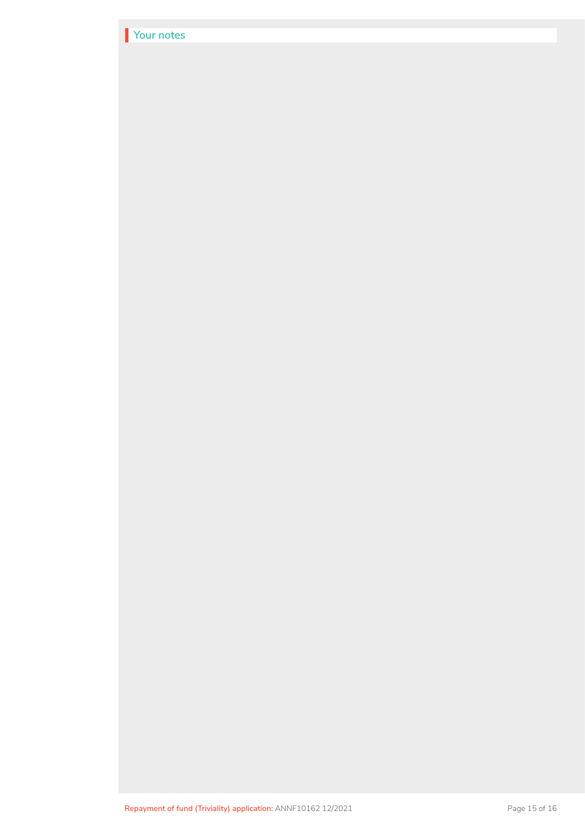| Your notes |  |  |
|------------|--|--|
|            |  |  |
|            |  |  |
|            |  |  |
|            |  |  |
|            |  |  |
|            |  |  |
|            |  |  |
|            |  |  |
|            |  |  |
|            |  |  |
|            |  |  |
|            |  |  |
|            |  |  |
|            |  |  |
|            |  |  |
|            |  |  |
|            |  |  |
|            |  |  |
|            |  |  |
|            |  |  |
|            |  |  |
|            |  |  |
|            |  |  |
|            |  |  |
|            |  |  |
|            |  |  |
|            |  |  |
|            |  |  |
|            |  |  |
|            |  |  |
|            |  |  |